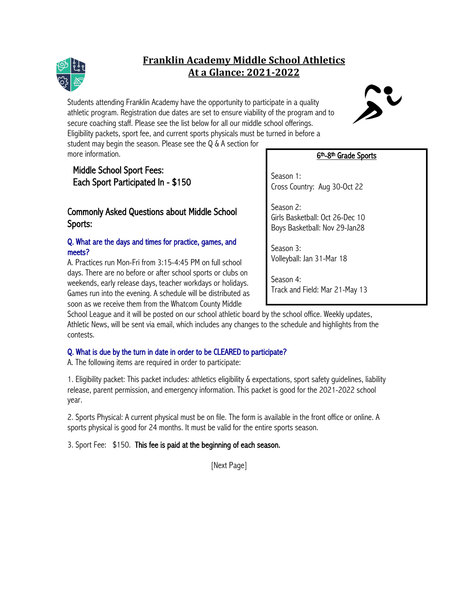## **Franklin Academy Middle School Athletics At a Glance: 2021-2022**

Students attending Franklin Academy have the opportunity to participate in a quality athletic program. Registration due dates are set to ensure viability of the program and to secure coaching staff. Please see the list below for all our middle school offerings. Eligibility packets, sport fee, and current sports physicals must be turned in before a student may begin the season. Please see the Q & A section for more information.

# Middle School Sport Fees: Each Sport Participated In - \$150

## Commonly Asked Questions about Middle School Sports:

### Q. What are the days and times for practice, games, and meets?

A. Practices run Mon-Fri from 3:15-4:45 PM on full school days. There are no before or after school sports or clubs on weekends, early release days, teacher workdays or holidays. Games run into the evening. A schedule will be distributed as soon as we receive them from the Whatcom County Middle

School League and it will be posted on our school athletic board by the school office. Weekly updates, Athletic News, will be sent via email, which includes any changes to the schedule and highlights from the contests.

### Q. What is due by the turn in date in order to be CLEARED to participate?

A. The following items are required in order to participate:

1. Eligibility packet: This packet includes: athletics eligibility & expectations, sport safety guidelines, liability release, parent permission, and emergency information. This packet is good for the 2021-2022 school year.

2. Sports Physical: A current physical must be on file. The form is available in the front office or online. A sports physical is good for 24 months. It must be valid for the entire sports season.

3. Sport Fee: \$150. This fee is paid at the beginning of each season.

[Next Page]

### 6th-8th Grade Sports

Season 1: Cross Country: Aug 30-Oct 22

Season 2: Girls Basketball: Oct 26-Dec 10 Boys Basketball: Nov 29-Jan28

Season 3: Volleyball: Jan 31-Mar 18

Season 4: Track and Field: Mar 21-May 13